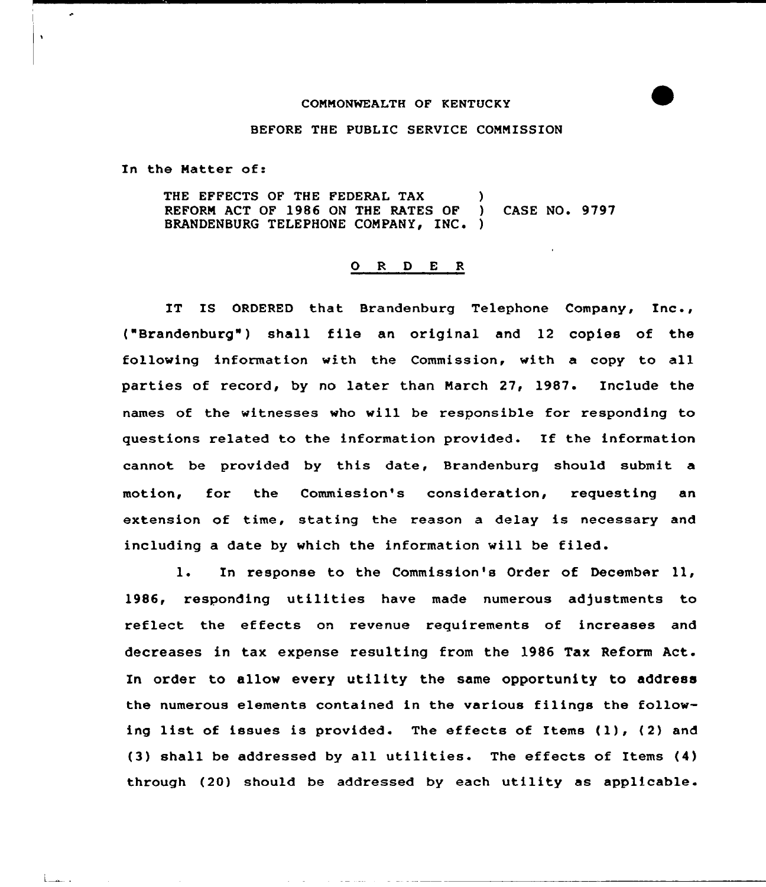## COMMONWEALTH OF KENTUCKY

## BEFORE THE PUBLIC SERVICE COMMISSION

In the Matter of:

÷.

 $\ddot{\phantom{1}}$ 

 $L_{\rm max}$ .

THE EFFECTS OF THE FEDERAL TAX (1)<br>REFORM ACT OF 1986 ON THE RATES OF (1) REFORM ACT OF 1986 ON THE RATES OF ) CASE NO. 9797 BRANDENBURG TELEPHONE COMPANY, INC. )

## 0 R <sup>D</sup> <sup>E</sup> <sup>R</sup>

IT IS ORDERED that Brandenburg Telephone Company, Inc., ("Brandenburg") shall file an original and <sup>12</sup> copies of the following information with the Commission, with a copy to all parties of record, by no later than March 27, 1987. Include the names of the witnesses who will be responsible for responding to questions related to the information provided. If the information cannot be provided by this date, Brandenburg should submit a motion, for the Commission's consideration, requesting an extension of time, stating the reason a delay is necessary and including a date by which the information will be filed.

l. In response to the Commission's Order of December ll, 1986, responding utilities have made numerous adjustments to reflect the effects on revenue requirements of increases and decreases in tax expense resulting from the 1986 Tax Reform Act. In order to allow every utility the same opportunity to address the numerous elements contained in the various filings the following list of issues is provided. The effects of Items (1), (2) and (3) shall be addressed by all utilities. The effects of Items (4) through (20) should be addressed by each utility as applicable.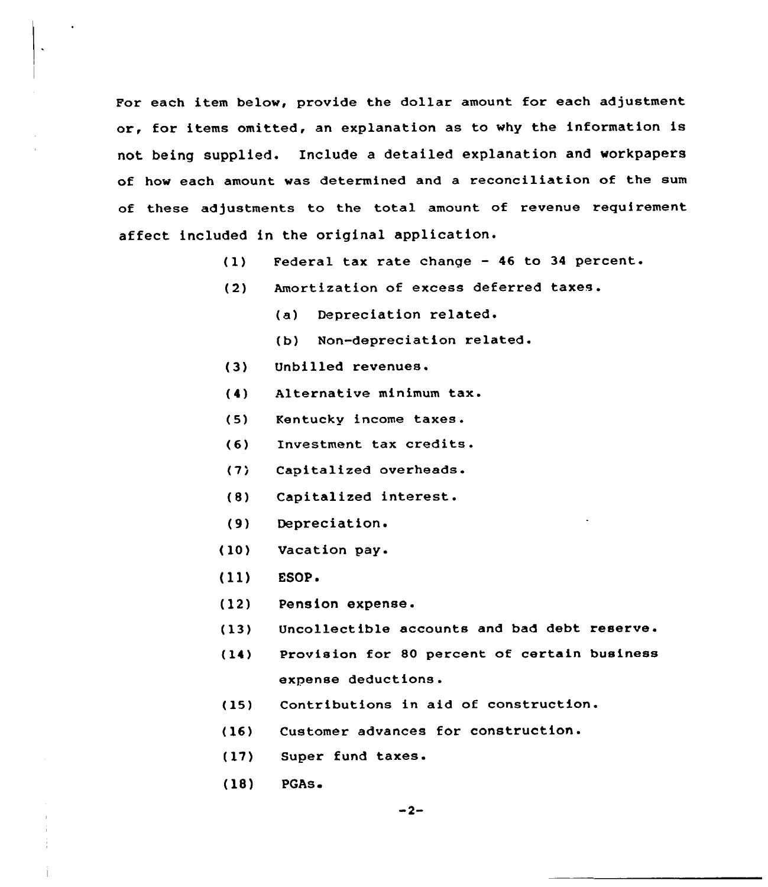For each item below, provide the dollar amount for each adjustment or, for items omitted, an explanation as to why the information is not being supplied. Include a detailed explanation and workpapers of how each amount was determined and a reconciliation of the sum of these adjustments to the total amount of revenue requirement affect included in the original application.

- $(1)$ Federal tax rate change — 46 to 34 percent
- (2) Amortization of excess deferred taxes.
	- (a) Depreciation related
	- (b) Non-depreciation related.
- (3) Unbilled revenues.
- (4) Alternative minimum tax.
- (5) Kentucky income taxes.
- (6) Investment tax credits.
- $(7)$ Capitalized overheads.
- (8) Capitalized interest.
- (9) Depreciation.
- (10) Vacation pay.
- (ll) ESOP.
- (12) Pension expense.
- (13) Uncollectible accounts and bad debt reserve.
- (14) Provision for 80 percent of certain business expense deductions.
- (15) Contributions in aid of construction.
- (16) Customer advances for construction.
- (17) Super fund taxes.
- (18) PGAs.